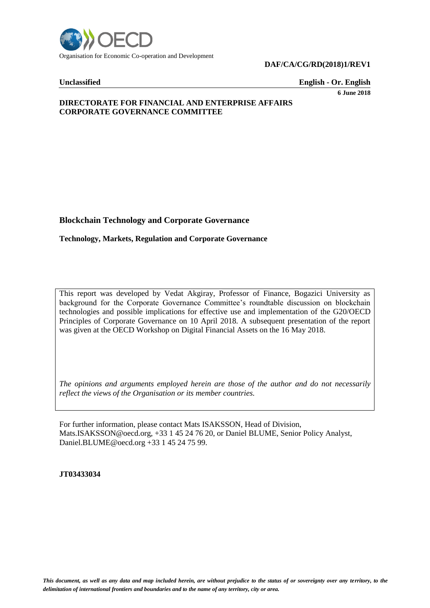

**Unclassified English - Or. English**

**6 June 2018**

### **DIRECTORATE FOR FINANCIAL AND ENTERPRISE AFFAIRS CORPORATE GOVERNANCE COMMITTEE**

### **Blockchain Technology and Corporate Governance**

### **Technology, Markets, Regulation and Corporate Governance**

This report was developed by Vedat Akgiray, Professor of Finance, Bogazici University as background for the Corporate Governance Committee's roundtable discussion on blockchain technologies and possible implications for effective use and implementation of the G20/OECD Principles of Corporate Governance on 10 April 2018. A subsequent presentation of the report was given at the OECD Workshop on Digital Financial Assets on the 16 May 2018.

*The opinions and arguments employed herein are those of the author and do not necessarily reflect the views of the Organisation or its member countries.*

For further information, please contact Mats ISAKSSON, Head of Division, Mats.ISAKSSON@oecd.org, +33 1 45 24 76 20, or Daniel BLUME, Senior Policy Analyst, Daniel.BLUME@oecd.org +33 1 45 24 75 99.

#### **JT03433034**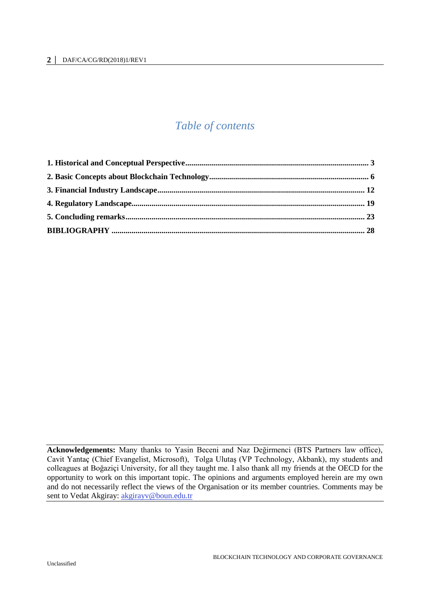# *Table of contents*

**Acknowledgements:** Many thanks to Yasin Beceni and Naz Değirmenci (BTS Partners law office), Cavit Yantaç (Chief Evangelist, Microsoft), Tolga Ulutaş (VP Technology, Akbank), my students and colleagues at Boğaziçi University, for all they taught me. I also thank all my friends at the OECD for the opportunity to work on this important topic. The opinions and arguments employed herein are my own and do not necessarily reflect the views of the Organisation or its member countries. Comments may be sent to Vedat Akgiray: [akgirayv@boun.edu.tr](mailto:akgirayv@boun.edu.tr)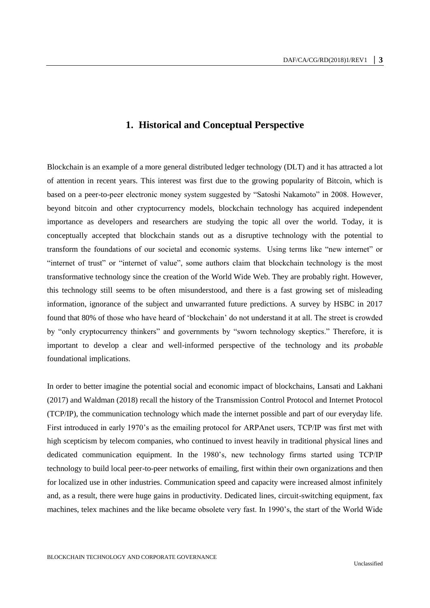### **1. Historical and Conceptual Perspective**

<span id="page-2-0"></span>Blockchain is an example of a more general distributed ledger technology (DLT) and it has attracted a lot of attention in recent years. This interest was first due to the growing popularity of Bitcoin, which is based on a peer-to-peer electronic money system suggested by "Satoshi Nakamoto" in 2008. However, beyond bitcoin and other cryptocurrency models, blockchain technology has acquired independent importance as developers and researchers are studying the topic all over the world. Today, it is conceptually accepted that blockchain stands out as a disruptive technology with the potential to transform the foundations of our societal and economic systems. Using terms like "new internet" or "internet of trust" or "internet of value", some authors claim that blockchain technology is the most transformative technology since the creation of the World Wide Web. They are probably right. However, this technology still seems to be often misunderstood, and there is a fast growing set of misleading information, ignorance of the subject and unwarranted future predictions. A survey by HSBC in 2017 found that 80% of those who have heard of 'blockchain' do not understand it at all. The street is crowded by "only cryptocurrency thinkers" and governments by "sworn technology skeptics." Therefore, it is important to develop a clear and well-informed perspective of the technology and its *probable* foundational implications.

In order to better imagine the potential social and economic impact of blockchains, Lansati and Lakhani (2017) and Waldman (2018) recall the history of the Transmission Control Protocol and Internet Protocol (TCP/IP), the communication technology which made the internet possible and part of our everyday life. First introduced in early 1970's as the emailing protocol for ARPAnet users, TCP/IP was first met with high scepticism by telecom companies, who continued to invest heavily in traditional physical lines and dedicated communication equipment. In the 1980's, new technology firms started using TCP/IP technology to build local peer-to-peer networks of emailing, first within their own organizations and then for localized use in other industries. Communication speed and capacity were increased almost infinitely and, as a result, there were huge gains in productivity. Dedicated lines, circuit-switching equipment, fax machines, telex machines and the like became obsolete very fast. In 1990's, the start of the World Wide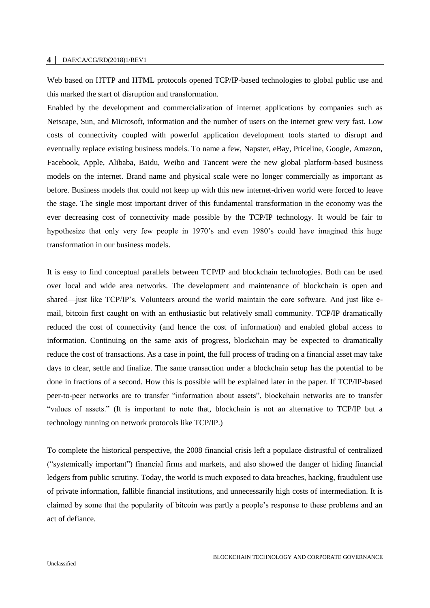Web based on HTTP and HTML protocols opened TCP/IP-based technologies to global public use and this marked the start of disruption and transformation.

Enabled by the development and commercialization of internet applications by companies such as Netscape, Sun, and Microsoft, information and the number of users on the internet grew very fast. Low costs of connectivity coupled with powerful application development tools started to disrupt and eventually replace existing business models. To name a few, Napster, eBay, Priceline, Google, Amazon, Facebook, Apple, Alibaba, Baidu, Weibo and Tancent were the new global platform-based business models on the internet. Brand name and physical scale were no longer commercially as important as before. Business models that could not keep up with this new internet-driven world were forced to leave the stage. The single most important driver of this fundamental transformation in the economy was the ever decreasing cost of connectivity made possible by the TCP/IP technology. It would be fair to hypothesize that only very few people in 1970's and even 1980's could have imagined this huge transformation in our business models.

It is easy to find conceptual parallels between TCP/IP and blockchain technologies. Both can be used over local and wide area networks. The development and maintenance of blockchain is open and shared—just like TCP/IP's. Volunteers around the world maintain the core software. And just like email, bitcoin first caught on with an enthusiastic but relatively small community. TCP/IP dramatically reduced the cost of connectivity (and hence the cost of information) and enabled global access to information. Continuing on the same axis of progress, blockchain may be expected to dramatically reduce the cost of transactions. As a case in point, the full process of trading on a financial asset may take days to clear, settle and finalize. The same transaction under a blockchain setup has the potential to be done in fractions of a second. How this is possible will be explained later in the paper. If TCP/IP-based peer-to-peer networks are to transfer "information about assets", blockchain networks are to transfer "values of assets." (It is important to note that, blockchain is not an alternative to TCP/IP but a technology running on network protocols like TCP/IP.)

To complete the historical perspective, the 2008 financial crisis left a populace distrustful of centralized ("systemically important") financial firms and markets, and also showed the danger of hiding financial ledgers from public scrutiny. Today, the world is much exposed to data breaches, hacking, fraudulent use of private information, fallible financial institutions, and unnecessarily high costs of intermediation. It is claimed by some that the popularity of bitcoin was partly a people's response to these problems and an act of defiance.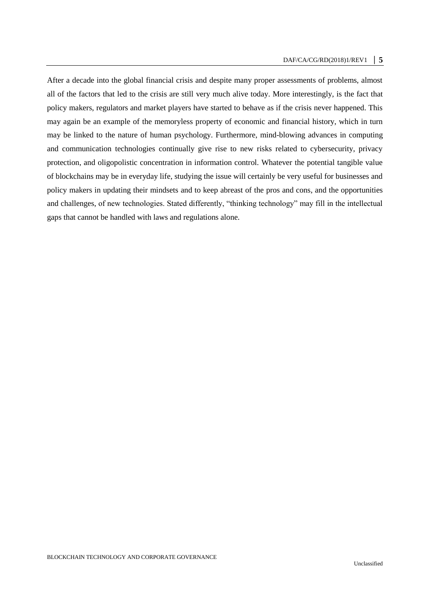After a decade into the global financial crisis and despite many proper assessments of problems, almost all of the factors that led to the crisis are still very much alive today. More interestingly, is the fact that policy makers, regulators and market players have started to behave as if the crisis never happened. This may again be an example of the memoryless property of economic and financial history, which in turn may be linked to the nature of human psychology. Furthermore, mind-blowing advances in computing and communication technologies continually give rise to new risks related to cybersecurity, privacy protection, and oligopolistic concentration in information control. Whatever the potential tangible value of blockchains may be in everyday life, studying the issue will certainly be very useful for businesses and policy makers in updating their mindsets and to keep abreast of the pros and cons, and the opportunities and challenges, of new technologies. Stated differently, "thinking technology" may fill in the intellectual gaps that cannot be handled with laws and regulations alone.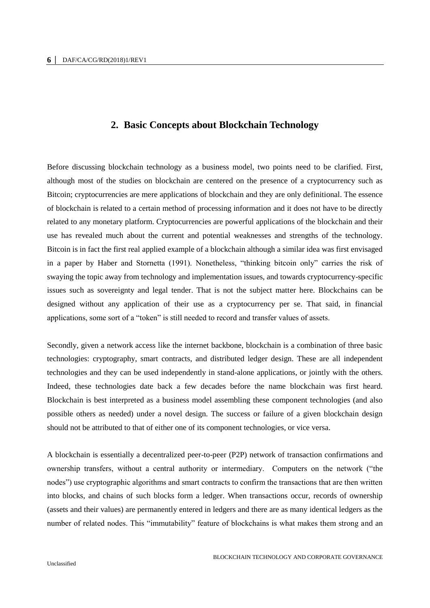### <span id="page-5-0"></span>**2. Basic Concepts about Blockchain Technology**

Before discussing blockchain technology as a business model, two points need to be clarified. First, although most of the studies on blockchain are centered on the presence of a cryptocurrency such as Bitcoin; cryptocurrencies are mere applications of blockchain and they are only definitional. The essence of blockchain is related to a certain method of processing information and it does not have to be directly related to any monetary platform. Cryptocurrencies are powerful applications of the blockchain and their use has revealed much about the current and potential weaknesses and strengths of the technology. Bitcoin is in fact the first real applied example of a blockchain although a similar idea was first envisaged in a paper by Haber and Stornetta (1991). Nonetheless, "thinking bitcoin only" carries the risk of swaying the topic away from technology and implementation issues, and towards cryptocurrency-specific issues such as sovereignty and legal tender. That is not the subject matter here. Blockchains can be designed without any application of their use as a cryptocurrency per se. That said, in financial applications, some sort of a "token" is still needed to record and transfer values of assets.

Secondly, given a network access like the internet backbone, blockchain is a combination of three basic technologies: cryptography, smart contracts, and distributed ledger design. These are all independent technologies and they can be used independently in stand-alone applications, or jointly with the others. Indeed, these technologies date back a few decades before the name blockchain was first heard. Blockchain is best interpreted as a business model assembling these component technologies (and also possible others as needed) under a novel design. The success or failure of a given blockchain design should not be attributed to that of either one of its component technologies, or vice versa.

A blockchain is essentially a decentralized peer-to-peer (P2P) network of transaction confirmations and ownership transfers, without a central authority or intermediary. Computers on the network ("the nodes") use cryptographic algorithms and smart contracts to confirm the transactions that are then written into blocks, and chains of such blocks form a ledger. When transactions occur, records of ownership (assets and their values) are permanently entered in ledgers and there are as many identical ledgers as the number of related nodes. This "immutability" feature of blockchains is what makes them strong and an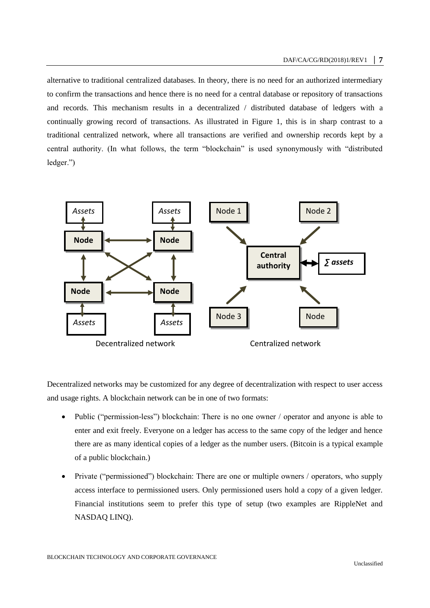alternative to traditional centralized databases. In theory, there is no need for an authorized intermediary to confirm the transactions and hence there is no need for a central database or repository of transactions and records. This mechanism results in a decentralized / distributed database of ledgers with a continually growing record of transactions. As illustrated in Figure 1, this is in sharp contrast to a traditional centralized network, where all transactions are verified and ownership records kept by a central authority. (In what follows, the term "blockchain" is used synonymously with "distributed ledger.")



Decentralized networks may be customized for any degree of decentralization with respect to user access and usage rights. A blockchain network can be in one of two formats:

- Public ("permission-less") blockchain: There is no one owner / operator and anyone is able to enter and exit freely. Everyone on a ledger has access to the same copy of the ledger and hence there are as many identical copies of a ledger as the number users. (Bitcoin is a typical example of a public blockchain.)
- Private ("permissioned") blockchain: There are one or multiple owners / operators, who supply access interface to permissioned users. Only permissioned users hold a copy of a given ledger. Financial institutions seem to prefer this type of setup (two examples are RippleNet and NASDAQ LINQ).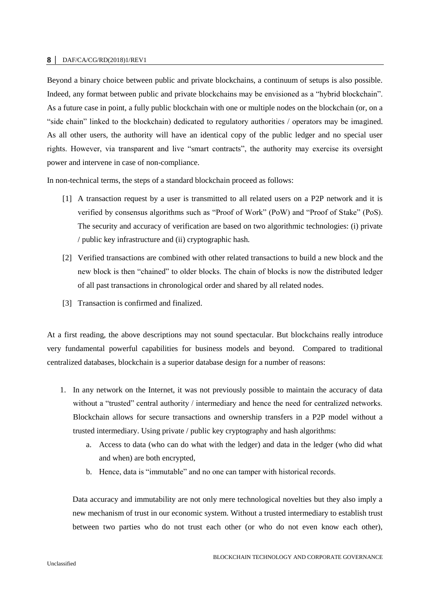Beyond a binary choice between public and private blockchains, a continuum of setups is also possible. Indeed, any format between public and private blockchains may be envisioned as a "hybrid blockchain". As a future case in point, a fully public blockchain with one or multiple nodes on the blockchain (or, on a "side chain" linked to the blockchain) dedicated to regulatory authorities / operators may be imagined. As all other users, the authority will have an identical copy of the public ledger and no special user rights. However, via transparent and live "smart contracts", the authority may exercise its oversight power and intervene in case of non-compliance.

In non-technical terms, the steps of a standard blockchain proceed as follows:

- [1] A transaction request by a user is transmitted to all related users on a P2P network and it is verified by consensus algorithms such as "Proof of Work" (PoW) and "Proof of Stake" (PoS). The security and accuracy of verification are based on two algorithmic technologies: (i) private / public key infrastructure and (ii) cryptographic hash.
- [2] Verified transactions are combined with other related transactions to build a new block and the new block is then "chained" to older blocks. The chain of blocks is now the distributed ledger of all past transactions in chronological order and shared by all related nodes.
- [3] Transaction is confirmed and finalized.

At a first reading, the above descriptions may not sound spectacular. But blockchains really introduce very fundamental powerful capabilities for business models and beyond. Compared to traditional centralized databases, blockchain is a superior database design for a number of reasons:

- 1. In any network on the Internet, it was not previously possible to maintain the accuracy of data without a "trusted" central authority / intermediary and hence the need for centralized networks. Blockchain allows for secure transactions and ownership transfers in a P2P model without a trusted intermediary. Using private / public key cryptography and hash algorithms:
	- a. Access to data (who can do what with the ledger) and data in the ledger (who did what and when) are both encrypted,
	- b. Hence, data is "immutable" and no one can tamper with historical records.

Data accuracy and immutability are not only mere technological novelties but they also imply a new mechanism of trust in our economic system. Without a trusted intermediary to establish trust between two parties who do not trust each other (or who do not even know each other),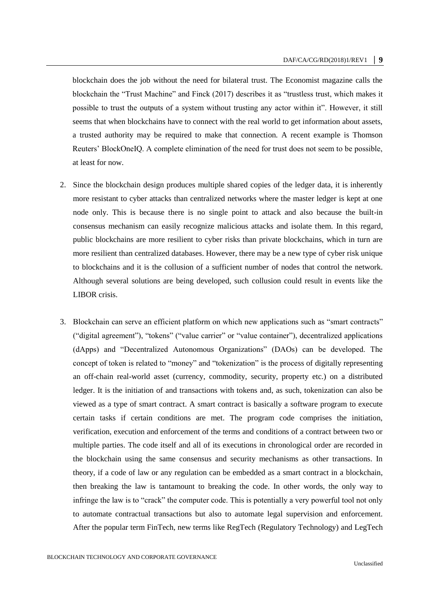blockchain does the job without the need for bilateral trust. The Economist magazine calls the blockchain the "Trust Machine" and Finck (2017) describes it as "trustless trust, which makes it possible to trust the outputs of a system without trusting any actor within it". However, it still seems that when blockchains have to connect with the real world to get information about assets, a trusted authority may be required to make that connection. A recent example is Thomson Reuters' BlockOneIQ. A complete elimination of the need for trust does not seem to be possible, at least for now.

- 2. Since the blockchain design produces multiple shared copies of the ledger data, it is inherently more resistant to cyber attacks than centralized networks where the master ledger is kept at one node only. This is because there is no single point to attack and also because the built-in consensus mechanism can easily recognize malicious attacks and isolate them. In this regard, public blockchains are more resilient to cyber risks than private blockchains, which in turn are more resilient than centralized databases. However, there may be a new type of cyber risk unique to blockchains and it is the collusion of a sufficient number of nodes that control the network. Although several solutions are being developed, such collusion could result in events like the LIBOR crisis.
- 3. Blockchain can serve an efficient platform on which new applications such as "smart contracts" ("digital agreement"), "tokens" ("value carrier" or "value container"), decentralized applications (dApps) and "Decentralized Autonomous Organizations" (DAOs) can be developed. The concept of token is related to "money" and "tokenization" is the process of digitally representing an off-chain real-world asset (currency, commodity, security, property etc.) on a distributed ledger. It is the initiation of and transactions with tokens and, as such, tokenization can also be viewed as a type of smart contract. A smart contract is basically a software program to execute certain tasks if certain conditions are met. The program code comprises the initiation, verification, execution and enforcement of the terms and conditions of a contract between two or multiple parties. The code itself and all of its executions in chronological order are recorded in the blockchain using the same consensus and security mechanisms as other transactions. In theory, if a code of law or any regulation can be embedded as a smart contract in a blockchain, then breaking the law is tantamount to breaking the code. In other words, the only way to infringe the law is to "crack" the computer code. This is potentially a very powerful tool not only to automate contractual transactions but also to automate legal supervision and enforcement. After the popular term FinTech, new terms like RegTech (Regulatory Technology) and LegTech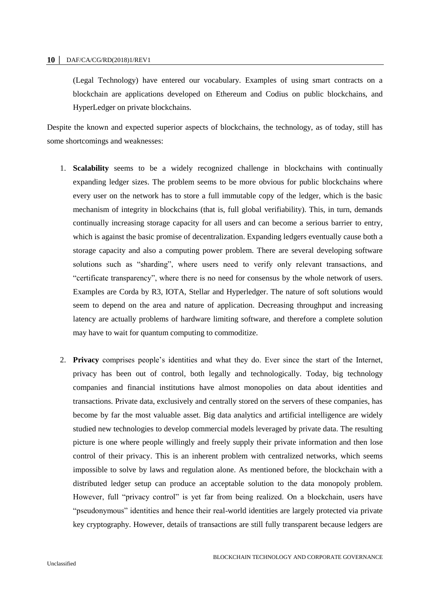(Legal Technology) have entered our vocabulary. Examples of using smart contracts on a blockchain are applications developed on Ethereum and Codius on public blockchains, and HyperLedger on private blockchains.

Despite the known and expected superior aspects of blockchains, the technology, as of today, still has some shortcomings and weaknesses:

- 1. **Scalability** seems to be a widely recognized challenge in blockchains with continually expanding ledger sizes. The problem seems to be more obvious for public blockchains where every user on the network has to store a full immutable copy of the ledger, which is the basic mechanism of integrity in blockchains (that is, full global verifiability). This, in turn, demands continually increasing storage capacity for all users and can become a serious barrier to entry, which is against the basic promise of decentralization. Expanding ledgers eventually cause both a storage capacity and also a computing power problem. There are several developing software solutions such as "sharding", where users need to verify only relevant transactions, and "certificate transparency", where there is no need for consensus by the whole network of users. Examples are Corda by R3, IOTA, Stellar and Hyperledger. The nature of soft solutions would seem to depend on the area and nature of application. Decreasing throughput and increasing latency are actually problems of hardware limiting software, and therefore a complete solution may have to wait for quantum computing to commoditize.
- 2. **Privacy** comprises people's identities and what they do. Ever since the start of the Internet, privacy has been out of control, both legally and technologically. Today, big technology companies and financial institutions have almost monopolies on data about identities and transactions. Private data, exclusively and centrally stored on the servers of these companies, has become by far the most valuable asset. Big data analytics and artificial intelligence are widely studied new technologies to develop commercial models leveraged by private data. The resulting picture is one where people willingly and freely supply their private information and then lose control of their privacy. This is an inherent problem with centralized networks, which seems impossible to solve by laws and regulation alone. As mentioned before, the blockchain with a distributed ledger setup can produce an acceptable solution to the data monopoly problem. However, full "privacy control" is yet far from being realized. On a blockchain, users have "pseudonymous" identities and hence their real-world identities are largely protected via private key cryptography. However, details of transactions are still fully transparent because ledgers are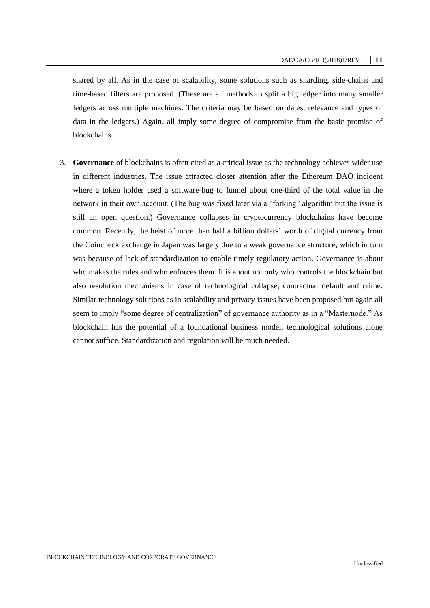shared by all. As in the case of scalability, some solutions such as sharding, side-chains and time-based filters are proposed. (These are all methods to split a big ledger into many smaller ledgers across multiple machines. The criteria may be based on dates, relevance and types of data in the ledgers.) Again, all imply some degree of compromise from the basic promise of blockchains.

3. **Governance** of blockchains is often cited as a critical issue as the technology achieves wider use in different industries. The issue attracted closer attention after the Ethereum DAO incident where a token holder used a software-bug to funnel about one-third of the total value in the network in their own account. (The bug was fixed later via a "forking" algorithm but the issue is still an open question.) Governance collapses in cryptocurrency blockchains have become common. Recently, the heist of more than half a billion dollars' worth of digital currency from the Coincheck exchange in Japan was largely due to a weak governance structure, which in turn was because of lack of standardization to enable timely regulatory action. Governance is about who makes the rules and who enforces them. It is about not only who controls the blockchain but also resolution mechanisms in case of technological collapse, contractual default and crime. Similar technology solutions as in scalability and privacy issues have been proposed but again all seem to imply "some degree of centralization" of governance authority as in a "Masternode." As blockchain has the potential of a foundational business model, technological solutions alone cannot suffice. Standardization and regulation will be much needed.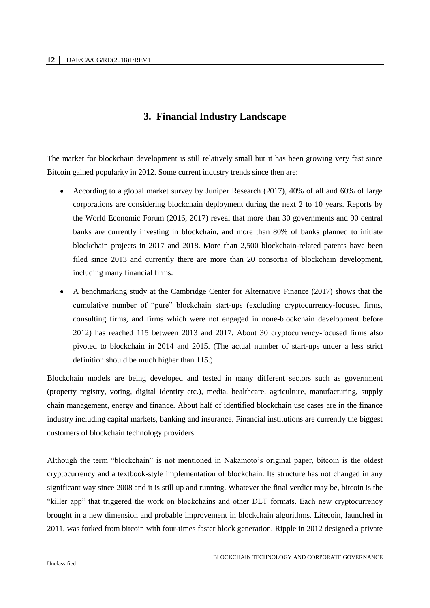### **3. Financial Industry Landscape**

<span id="page-11-0"></span>The market for blockchain development is still relatively small but it has been growing very fast since Bitcoin gained popularity in 2012. Some current industry trends since then are:

- According to a global market survey by Juniper Research (2017), 40% of all and 60% of large corporations are considering blockchain deployment during the next 2 to 10 years. Reports by the World Economic Forum (2016, 2017) reveal that more than 30 governments and 90 central banks are currently investing in blockchain, and more than 80% of banks planned to initiate blockchain projects in 2017 and 2018. More than 2,500 blockchain-related patents have been filed since 2013 and currently there are more than 20 consortia of blockchain development, including many financial firms.
- A benchmarking study at the Cambridge Center for Alternative Finance (2017) shows that the cumulative number of "pure" blockchain start-ups (excluding cryptocurrency-focused firms, consulting firms, and firms which were not engaged in none-blockchain development before 2012) has reached 115 between 2013 and 2017. About 30 cryptocurrency-focused firms also pivoted to blockchain in 2014 and 2015. (The actual number of start-ups under a less strict definition should be much higher than 115.)

Blockchain models are being developed and tested in many different sectors such as government (property registry, voting, digital identity etc.), media, healthcare, agriculture, manufacturing, supply chain management, energy and finance. About half of identified blockchain use cases are in the finance industry including capital markets, banking and insurance. Financial institutions are currently the biggest customers of blockchain technology providers.

Although the term "blockchain" is not mentioned in Nakamoto's original paper, bitcoin is the oldest cryptocurrency and a textbook-style implementation of blockchain. Its structure has not changed in any significant way since 2008 and it is still up and running. Whatever the final verdict may be, bitcoin is the "killer app" that triggered the work on blockchains and other DLT formats. Each new cryptocurrency brought in a new dimension and probable improvement in blockchain algorithms. Litecoin, launched in 2011, was forked from bitcoin with four-times faster block generation. Ripple in 2012 designed a private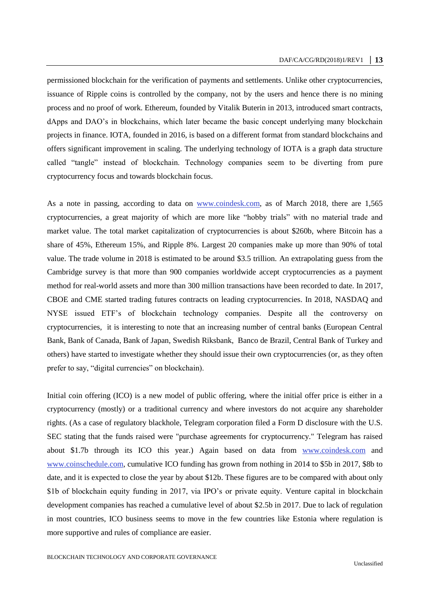permissioned blockchain for the verification of payments and settlements. Unlike other cryptocurrencies, issuance of Ripple coins is controlled by the company, not by the users and hence there is no mining process and no proof of work. Ethereum, founded by Vitalik Buterin in 2013, introduced smart contracts, dApps and DAO's in blockchains, which later became the basic concept underlying many blockchain projects in finance. IOTA, founded in 2016, is based on a different format from standard blockchains and offers significant improvement in scaling. The underlying technology of IOTA is a graph data structure called "tangle" instead of blockchain. Technology companies seem to be diverting from pure cryptocurrency focus and towards blockchain focus.

As a note in passing, according to data on [www.coindesk.com,](http://www.coindesk.com/) as of March 2018, there are 1,565 cryptocurrencies, a great majority of which are more like "hobby trials" with no material trade and market value. The total market capitalization of cryptocurrencies is about \$260b, where Bitcoin has a share of 45%, Ethereum 15%, and Ripple 8%. Largest 20 companies make up more than 90% of total value. The trade volume in 2018 is estimated to be around \$3.5 trillion. An extrapolating guess from the Cambridge survey is that more than 900 companies worldwide accept cryptocurrencies as a payment method for real-world assets and more than 300 million transactions have been recorded to date. In 2017, CBOE and CME started trading futures contracts on leading cryptocurrencies. In 2018, NASDAQ and NYSE issued ETF's of blockchain technology companies. Despite all the controversy on cryptocurrencies, it is interesting to note that an increasing number of central banks (European Central Bank, Bank of Canada, Bank of Japan, Swedish Riksbank, Banco de Brazil, Central Bank of Turkey and others) have started to investigate whether they should issue their own cryptocurrencies (or, as they often prefer to say, "digital currencies" on blockchain).

Initial coin offering (ICO) is a new model of public offering, where the initial offer price is either in a cryptocurrency (mostly) or a traditional currency and where investors do not acquire any shareholder rights. (As a case of regulatory blackhole, Telegram corporation filed a Form D disclosure with the U.S. SEC stating that the funds raised were "purchase agreements for cryptocurrency." Telegram has raised about \$1.7b through its ICO this year.) Again based on data from [www.coindesk.com](http://www.coindesk.com/) and [www.coinschedule.com,](http://www.coinschedule.com/) cumulative ICO funding has grown from nothing in 2014 to \$5b in 2017, \$8b to date, and it is expected to close the year by about \$12b. These figures are to be compared with about only \$1b of blockchain equity funding in 2017, via IPO's or private equity. Venture capital in blockchain development companies has reached a cumulative level of about \$2.5b in 2017. Due to lack of regulation in most countries, ICO business seems to move in the few countries like Estonia where regulation is more supportive and rules of compliance are easier.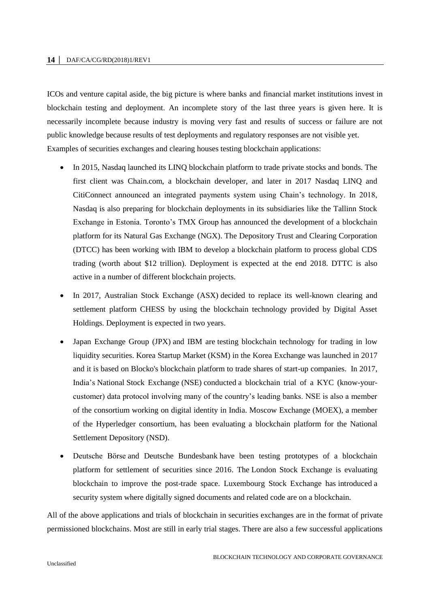ICOs and venture capital aside, the big picture is where banks and financial market institutions invest in blockchain testing and deployment. An incomplete story of the last three years is given here. It is necessarily incomplete because industry is moving very fast and results of success or failure are not public knowledge because results of test deployments and regulatory responses are not visible yet. Examples of securities exchanges and clearing houses testing blockchain applications:

- In 2015, Nasdaq launched its LINQ blockchain platform to trade private stocks and bonds. The [first client was C](http://business.nasdaq.com/marketinsite/2016/Building-on-the-Blockchain.html)hain.com, a blockchain developer, and later in 2017 Nasdaq LINQ and CitiConnect announced an integrated payments system using Chain's technology. In 2018, Nasdaq is also preparing for blockchain deployments in its subsidiaries like the Tallinn Stock Exchange in Estonia. Toronto's TMX Group has announced the development of a blockchain platform for its Natural Gas Exchange (NGX). The Depository Trust and Clearing Corporation (DTCC) has been working with IBM to develop a blockchain platform to process global CDS trading (worth about \$12 trillion). Deployment is expected at the end 2018. DTTC is also active in a number of different blockchain projects.
- In 2017, Australian Stock Exchange (ASX) decided to replace its well-known clearing and settlement platform CHESS by using the blockchain technology provided by Digital Asset Holdings. Deployment is expected in two years.
- Japan Exchange Group (JPX) and [IBM](https://www.nasdaq.com/symbol/ibm) are testing blockchain technology for trading in low liquidity securities. Korea Startup Market (KSM) in the Korea Exchange was launched in 2017 and it is based on Blocko's blockchain platform to trade shares of start-up companies. In 2017, India's National Stock Exchange (NSE) [conducted](http://www.coindesk.com/india-stock-exchange-blockchain-kyc/) a blockchain trial of a KYC (know-yourcustomer) data protocol involving many of the country's leading banks. NSE is also a member of the consortium working on digital identity in India. Moscow Exchange (MOEX), a member of the Hyperledger consortium, has been evaluating a blockchain platform for the National Settlement Depository [\(NSD\)](https://www.nsd.ru/en/press/pubs/index.php?id36=633473).
- Deutsche Börse and Deutsche Bundesbank have been testing prototypes of a blockchain platform for settlement of securities since 2016. The London Stock Exchange is evaluating blockchain to improve the post-trade space. Luxembourg Stock Exchange has introduced a security system where digitally signed documents and related code are on a blockchain.

All of the above applications and trials of blockchain in securities exchanges are in the format of private permissioned blockchains. Most are still in early trial stages. There are also a few successful applications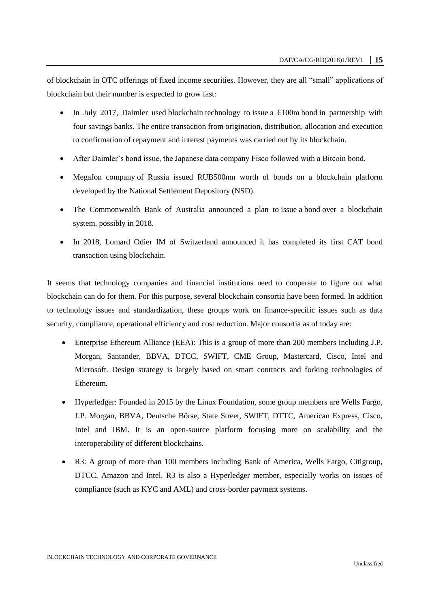of blockchain in OTC offerings of fixed income securities. However, they are all "small" applications of blockchain but their number is expected to grow fast:

- In July 2017, Daimler used blockchain technology to issue a  $\epsilon$ 100m bond in partnership with four savings banks. The entire transaction from origination, distribution, allocation and execution to confirmation of repayment and interest payments was carried out by its blockchain.
- After Daimler's bond issue, the Japanese data company Fisco followed with a Bitcoin bond.
- [Megafon](https://moscow.megafon.ru/) company of Russia issued RUB500mn worth of bonds on a blockchain platform developed by the National Settlement Depository (NSD).
- The Commonwealth Bank of Australia announced a plan to issue a bond over a blockchain system, possibly in 2018.
- In 2018, Lomard Odier IM of Switzerland announced it has completed its first CAT bond transaction using blockchain.

It seems that technology companies and financial institutions need to cooperate to figure out what blockchain can do for them. For this purpose, several blockchain consortia have been formed. In addition to technology issues and standardization, these groups work on finance-specific issues such as data security, compliance, operational efficiency and cost reduction. Major consortia as of today are:

- Enterprise Ethereum Alliance (EEA): This is a group of more than 200 members including J.P. Morgan, Santander, BBVA, DTCC, SWIFT, CME Group, Mastercard, Cisco, Intel and Microsoft. Design strategy is largely based on smart contracts and forking technologies of Ethereum.
- Hyperledger: Founded in 2015 by the Linux Foundation, some group members are Wells Fargo, J.P. Morgan, BBVA, Deutsche Börse, State Street, SWIFT, DTTC, American Express, Cisco, Intel and IBM. It is an open-source platform focusing more on scalability and the interoperability of different blockchains.
- R3: A group of more than 100 members including Bank of America, Wells Fargo, Citigroup, DTCC, Amazon and Intel. R3 is also a Hyperledger member, especially works on issues of compliance (such as KYC and AML) and cross-border payment systems.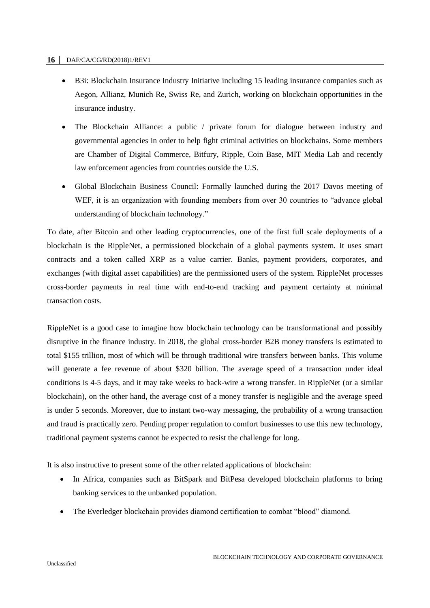- B3i: Blockchain Insurance Industry Initiative including 15 leading insurance companies such as Aegon, Allianz, Munich Re, Swiss Re, and Zurich, working on blockchain opportunities in the insurance industry.
- The Blockchain Alliance: a public / private forum for dialogue between industry and governmental agencies in order to help fight criminal activities on blockchains. Some members are Chamber of Digital Commerce, Bitfury, Ripple, Coin Base, MIT Media Lab and recently law enforcement agencies from countries outside the U.S.
- Global Blockchain Business Council: Formally launched during the 2017 Davos meeting of WEF, it is an organization with founding members from over 30 countries to "advance global understanding of blockchain technology."

To date, after Bitcoin and other leading cryptocurrencies, one of the first full scale deployments of a blockchain is the RippleNet, a permissioned blockchain of a global payments system. It uses smart contracts and a token called XRP as a value carrier. Banks, payment providers, corporates, and exchanges (with digital asset capabilities) are the permissioned users of the system. RippleNet processes cross-border payments in real time with end-to-end tracking and payment certainty at minimal transaction costs.

RippleNet is a good case to imagine how blockchain technology can be transformational and possibly disruptive in the finance industry. In 2018, the global cross-border B2B money transfers is estimated to total \$155 trillion, most of which will be through traditional wire transfers between banks. This volume will generate a fee revenue of about \$320 billion. The average speed of a transaction under ideal conditions is 4-5 days, and it may take weeks to back-wire a wrong transfer. In RippleNet (or a similar blockchain), on the other hand, the average cost of a money transfer is negligible and the average speed is under 5 seconds. Moreover, due to instant two-way messaging, the probability of a wrong transaction and fraud is practically zero. Pending proper regulation to comfort businesses to use this new technology, traditional payment systems cannot be expected to resist the challenge for long.

It is also instructive to present some of the other related applications of blockchain:

- In Africa, companies such as BitSpark and BitPesa developed blockchain platforms to bring banking services to the unbanked population.
- The Everledger blockchain provides diamond certification to combat "blood" diamond.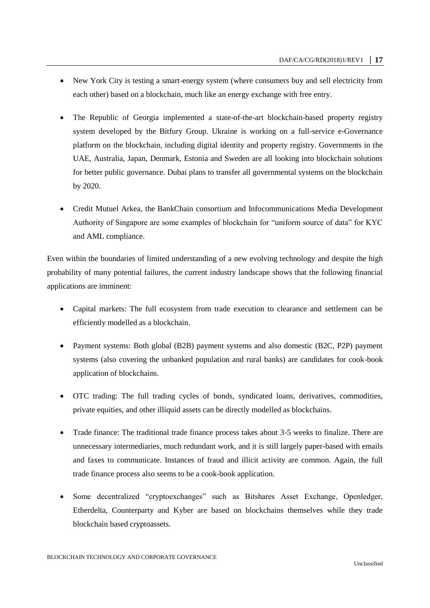- New York City is testing a smart-energy system (where consumers buy and sell electricity from each other) based on a blockchain, much like an energy exchange with free entry.
- The Republic of Georgia implemented a state-of-the-art blockchain-based property registry system developed by the Bitfury Group. Ukraine is working on a full-service e-Governance platform on the blockchain, including digital identity and property registry. Governments in the UAE, Australia, Japan, Denmark, Estonia and Sweden are all looking into blockchain solutions for better public governance. Dubai plans to transfer all governmental systems on the blockchain by 2020.
- Credit Mutuel Arkea, the BankChain consortium and Infocommunications Media Development Authority of Singapore are some examples of blockchain for "uniform source of data" for KYC and AML compliance.

Even within the boundaries of limited understanding of a new evolving technology and despite the high probability of many potential failures, the current industry landscape shows that the following financial applications are imminent:

- Capital markets: The full ecosystem from trade execution to clearance and settlement can be efficiently modelled as a blockchain.
- Payment systems: Both global (B2B) payment systems and also domestic (B2C, P2P) payment systems (also covering the unbanked population and rural banks) are candidates for cook-book application of blockchains.
- OTC trading: The full trading cycles of bonds, syndicated loans, derivatives, commodities, private equities, and other illiquid assets can be directly modelled as blockchains.
- Trade finance: The traditional trade finance process takes about 3-5 weeks to finalize. There are unnecessary intermediaries, much redundant work, and it is still largely paper-based with emails and faxes to communicate. Instances of fraud and illicit activity are common. Again, the full trade finance process also seems to be a cook-book application.
- Some decentralized "cryptoexchanges" such as Bitshares Asset Exchange, Openledger, Etherdelta, Counterparty and Kyber are based on blockchains themselves while they trade blockchain based cryptoassets.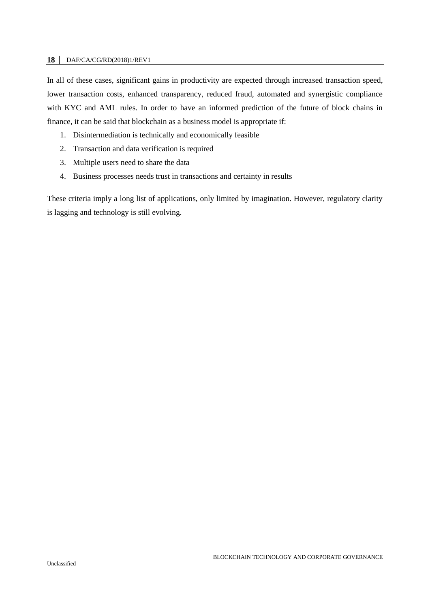In all of these cases, significant gains in productivity are expected through increased transaction speed, lower transaction costs, enhanced transparency, reduced fraud, automated and synergistic compliance with KYC and AML rules. In order to have an informed prediction of the future of block chains in finance, it can be said that blockchain as a business model is appropriate if:

- 1. Disintermediation is technically and economically feasible
- 2. Transaction and data verification is required
- 3. Multiple users need to share the data
- 4. Business processes needs trust in transactions and certainty in results

These criteria imply a long list of applications, only limited by imagination. However, regulatory clarity is lagging and technology is still evolving.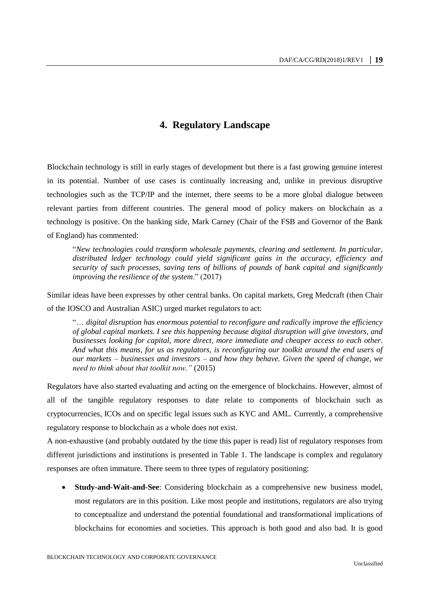### **4. Regulatory Landscape**

<span id="page-18-0"></span>Blockchain technology is still in early stages of development but there is a fast growing genuine interest in its potential. Number of use cases is continually increasing and, unlike in previous disruptive technologies such as the TCP/IP and the internet, there seems to be a more global dialogue between relevant parties from different countries. The general mood of policy makers on blockchain as a technology is positive. On the banking side, Mark Carney (Chair of the FSB and Governor of the Bank of England) has commented:

"*New technologies could transform wholesale payments, clearing and settlement. In particular, distributed ledger technology could yield significant gains in the accuracy, efficiency and security of such processes, saving tens of billions of pounds of bank capital and significantly improving the resilience of the system*." (2017)

Similar ideas have been expresses by other central banks. On capital markets, Greg Medcraft (then Chair of the IOSCO and Australian ASIC) urged market regulators to act:

"… *digital disruption has enormous potential to reconfigure and radically improve the efficiency of global capital markets. I see this happening because digital disruption will give investors, and businesses looking for capital, more direct, more immediate and cheaper access to each other. And what this means, for us as regulators, is reconfiguring our toolkit around the end users of our markets – businesses and investors – and how they behave. Given the speed of change, we need to think about that toolkit now."* (2015)

Regulators have also started evaluating and acting on the emergence of blockchains. However, almost of all of the tangible regulatory responses to date relate to components of blockchain such as cryptocurrencies, ICOs and on specific legal issues such as KYC and AML. Currently, a comprehensive regulatory response to blockchain as a whole does not exist.

A non-exhaustive (and probably outdated by the time this paper is read) list of regulatory responses from different jurisdictions and institutions is presented in Table 1. The landscape is complex and regulatory responses are often immature. There seem to three types of regulatory positioning:

 **Study-and-Wait-and-See**: Considering blockchain as a comprehensive new business model, most regulators are in this position. Like most people and institutions, regulators are also trying to conceptualize and understand the potential foundational and transformational implications of blockchains for economies and societies. This approach is both good and also bad. It is good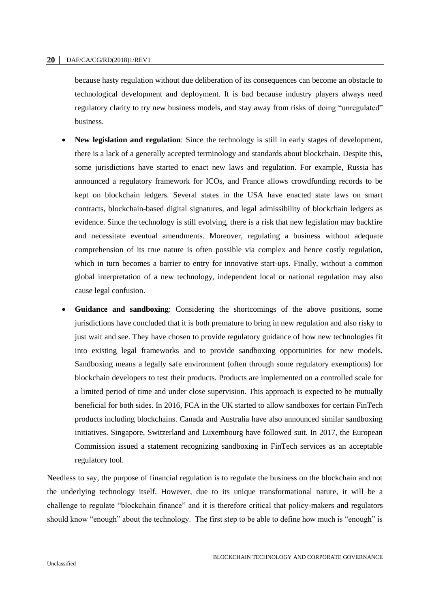because hasty regulation without due deliberation of its consequences can become an obstacle to technological development and deployment. It is bad because industry players always need regulatory clarity to try new business models, and stay away from risks of doing "unregulated" business.

- **New legislation and regulation**: Since the technology is still in early stages of development, there is a lack of a generally accepted terminology and standards about blockchain. Despite this, some jurisdictions have started to enact new laws and regulation. For example, Russia has announced a regulatory framework for ICOs, and France allows crowdfunding records to be kept on blockchain ledgers. Several states in the USA have enacted state laws on smart contracts, blockchain-based digital signatures, and legal admissibility of blockchain ledgers as evidence. Since the technology is still evolving, there is a risk that new legislation may backfire and necessitate eventual amendments. Moreover, regulating a business without adequate comprehension of its true nature is often possible via complex and hence costly regulation, which in turn becomes a barrier to entry for innovative start-ups. Finally, without a common global interpretation of a new technology, independent local or national regulation may also cause legal confusion.
- **Guidance and sandboxing**: Considering the shortcomings of the above positions, some jurisdictions have concluded that it is both premature to bring in new regulation and also risky to just wait and see. They have chosen to provide regulatory guidance of how new technologies fit into existing legal frameworks and to provide sandboxing opportunities for new models. Sandboxing means a legally safe environment (often through some regulatory exemptions) for blockchain developers to test their products. Products are implemented on a controlled scale for a limited period of time and under close supervision. This approach is expected to be mutually beneficial for both sides. In 2016, FCA in the UK started to allow sandboxes for certain FinTech products including blockchains. Canada and Australia have also announced similar sandboxing initiatives. Singapore, Switzerland and Luxembourg have followed suit. In 2017, the European Commission issued a statement recognizing sandboxing in FinTech services as an acceptable regulatory tool.

Needless to say, the purpose of financial regulation is to regulate the business on the blockchain and not the underlying technology itself. However, due to its unique transformational nature, it will be a challenge to regulate "blockchain finance" and it is therefore critical that policy-makers and regulators should know "enough" about the technology. The first step to be able to define how much is "enough" is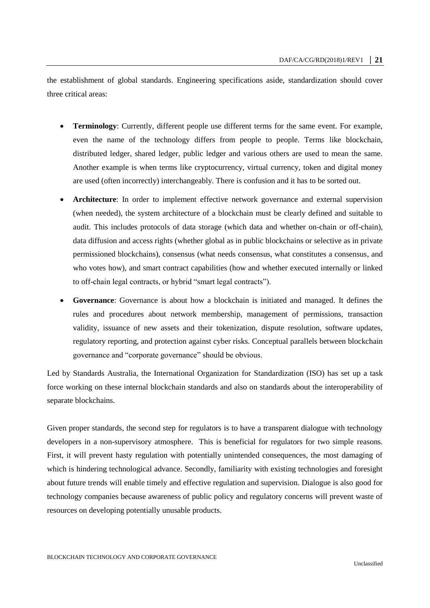the establishment of global standards. Engineering specifications aside, standardization should cover three critical areas:

- **Terminology**: Currently, different people use different terms for the same event. For example, even the name of the technology differs from people to people. Terms like blockchain, distributed ledger, shared ledger, public ledger and various others are used to mean the same. Another example is when terms like cryptocurrency, virtual currency, token and digital money are used (often incorrectly) interchangeably. There is confusion and it has to be sorted out.
- **Architecture**: In order to implement effective network governance and external supervision (when needed), the system architecture of a blockchain must be clearly defined and suitable to audit. This includes protocols of data storage (which data and whether on-chain or off-chain), data diffusion and access rights (whether global as in public blockchains or selective as in private permissioned blockchains), consensus (what needs consensus, what constitutes a consensus, and who votes how), and smart contract capabilities (how and whether executed internally or linked to off-chain legal contracts, or hybrid "smart legal contracts").
- **Governance**: Governance is about how a blockchain is initiated and managed. It defines the rules and procedures about network membership, management of permissions, transaction validity, issuance of new assets and their tokenization, dispute resolution, software updates, regulatory reporting, and protection against cyber risks. Conceptual parallels between blockchain governance and "corporate governance" should be obvious.

Led by Standards Australia, the International Organization for Standardization (ISO) has set up a task force working on these internal blockchain standards and also on standards about the interoperability of separate blockchains.

Given proper standards, the second step for regulators is to have a transparent dialogue with technology developers in a non-supervisory atmosphere. This is beneficial for regulators for two simple reasons. First, it will prevent hasty regulation with potentially unintended consequences, the most damaging of which is hindering technological advance. Secondly, familiarity with existing technologies and foresight about future trends will enable timely and effective regulation and supervision. Dialogue is also good for technology companies because awareness of public policy and regulatory concerns will prevent waste of resources on developing potentially unusable products.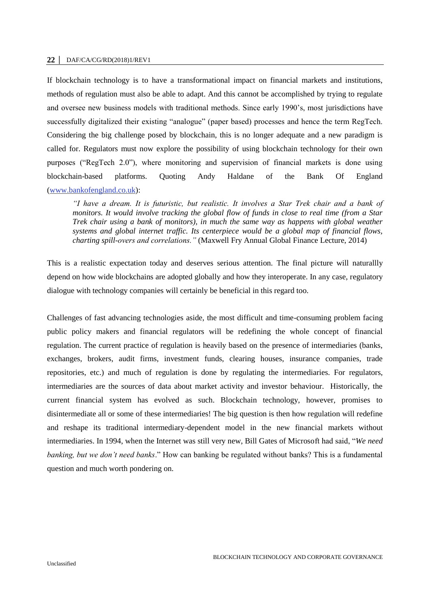If blockchain technology is to have a transformational impact on financial markets and institutions, methods of regulation must also be able to adapt. And this cannot be accomplished by trying to regulate and oversee new business models with traditional methods. Since early 1990's, most jurisdictions have successfully digitalized their existing "analogue" (paper based) processes and hence the term RegTech. Considering the big challenge posed by blockchain, this is no longer adequate and a new paradigm is called for. Regulators must now explore the possibility of using blockchain technology for their own purposes ("RegTech 2.0"), where monitoring and supervision of financial markets is done using blockchain-based platforms. Quoting Andy Haldane of the Bank Of England [\(www.bankofengland.co.uk\)](http://www.bankofengland.co.uk/):

*"I have a dream. It is futuristic, but realistic. It involves a Star Trek chair and a bank of monitors. It would involve tracking the global flow of funds in close to real time (from a Star Trek chair using a bank of monitors), in much the same way as happens with global weather systems and global internet traffic. Its centerpiece would be a global map of financial flows, charting spill-overs and correlations."* (Maxwell Fry Annual Global Finance Lecture, 2014)

This is a realistic expectation today and deserves serious attention. The final picture will naturallly depend on how wide blockchains are adopted globally and how they interoperate. In any case, regulatory dialogue with technology companies will certainly be beneficial in this regard too.

Challenges of fast advancing technologies aside, the most difficult and time-consuming problem facing public policy makers and financial regulators will be redefining the whole concept of financial regulation. The current practice of regulation is heavily based on the presence of intermediaries (banks, exchanges, brokers, audit firms, investment funds, clearing houses, insurance companies, trade repositories, etc.) and much of regulation is done by regulating the intermediaries. For regulators, intermediaries are the sources of data about market activity and investor behaviour. Historically, the current financial system has evolved as such. Blockchain technology, however, promises to disintermediate all or some of these intermediaries! The big question is then how regulation will redefine and reshape its traditional intermediary-dependent model in the new financial markets without intermediaries. In 1994, when the Internet was still very new, Bill Gates of Microsoft had said, "*We need banking, but we don't need banks*." How can banking be regulated without banks? This is a fundamental question and much worth pondering on.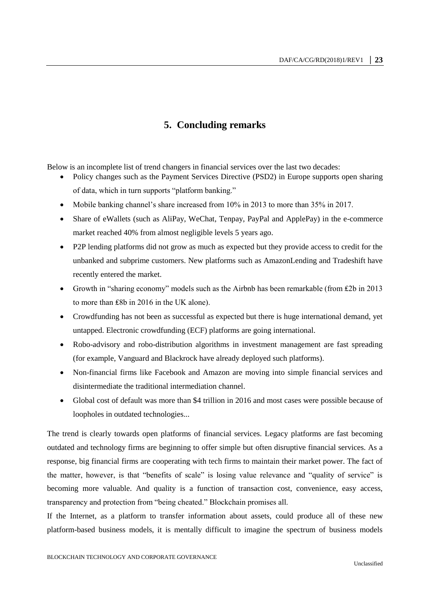## **5. Concluding remarks**

<span id="page-22-0"></span>Below is an incomplete list of trend changers in financial services over the last two decades:

- Policy changes such as the Payment Services Directive (PSD2) in Europe supports open sharing of data, which in turn supports "platform banking."
- Mobile banking channel's share increased from 10% in 2013 to more than 35% in 2017.
- Share of eWallets (such as AliPay, WeChat, Tenpay, PayPal and ApplePay) in the e-commerce market reached 40% from almost negligible levels 5 years ago.
- P2P lending platforms did not grow as much as expected but they provide access to credit for the unbanked and subprime customers. New platforms such as AmazonLending and Tradeshift have recently entered the market.
- Growth in "sharing economy" models such as the Airbnb has been remarkable (from £2b in 2013 to more than ₤8b in 2016 in the UK alone).
- Crowdfunding has not been as successful as expected but there is huge international demand, yet untapped. Electronic crowdfunding (ECF) platforms are going international.
- Robo-advisory and robo-distribution algorithms in investment management are fast spreading (for example, Vanguard and Blackrock have already deployed such platforms).
- Non-financial firms like Facebook and Amazon are moving into simple financial services and disintermediate the traditional intermediation channel.
- Global cost of default was more than \$4 trillion in 2016 and most cases were possible because of loopholes in outdated technologies...

The trend is clearly towards open platforms of financial services. Legacy platforms are fast becoming outdated and technology firms are beginning to offer simple but often disruptive financial services. As a response, big financial firms are cooperating with tech firms to maintain their market power. The fact of the matter, however, is that "benefits of scale" is losing value relevance and "quality of service" is becoming more valuable. And quality is a function of transaction cost, convenience, easy access, transparency and protection from "being cheated." Blockchain promises all.

If the Internet, as a platform to transfer information about assets, could produce all of these new platform-based business models, it is mentally difficult to imagine the spectrum of business models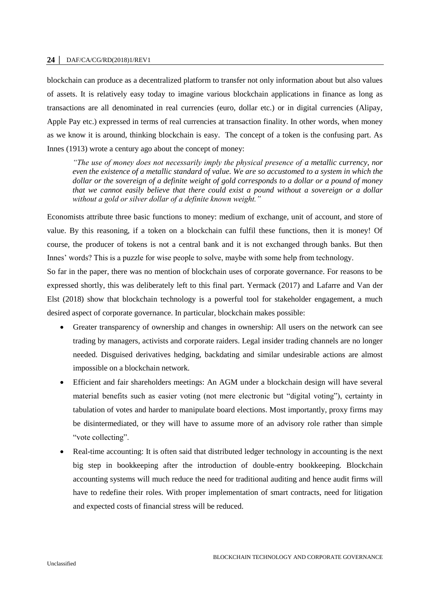blockchain can produce as a decentralized platform to transfer not only information about but also values of assets. It is relatively easy today to imagine various blockchain applications in finance as long as transactions are all denominated in real currencies (euro, dollar etc.) or in digital currencies (Alipay, Apple Pay etc.) expressed in terms of real currencies at transaction finality. In other words, when money as we know it is around, thinking blockchain is easy. The concept of a token is the confusing part. As Innes (1913) wrote a century ago about the concept of money:

*"The use of money does not necessarily imply the physical presence of a metallic currency, nor even the existence of a metallic standard of value. We are so accustomed to a system in which the dollar or the sovereign of a definite weight of gold corresponds to a dollar or a pound of money that we cannot easily believe that there could exist a pound without a sovereign or a dollar without a gold or silver dollar of a definite known weight."*

Economists attribute three basic functions to money: medium of exchange, unit of account, and store of value. By this reasoning, if a token on a blockchain can fulfil these functions, then it is money! Of course, the producer of tokens is not a central bank and it is not exchanged through banks. But then Innes' words? This is a puzzle for wise people to solve, maybe with some help from technology.

So far in the paper, there was no mention of blockchain uses of corporate governance. For reasons to be expressed shortly, this was deliberately left to this final part. Yermack (2017) and Lafarre and Van der Elst (2018) show that blockchain technology is a powerful tool for stakeholder engagement, a much desired aspect of corporate governance. In particular, blockchain makes possible:

- Greater transparency of ownership and changes in ownership: All users on the network can see trading by managers, activists and corporate raiders. Legal insider trading channels are no longer needed. Disguised derivatives hedging, backdating and similar undesirable actions are almost impossible on a blockchain network.
- Efficient and fair shareholders meetings: An AGM under a blockchain design will have several material benefits such as easier voting (not mere electronic but "digital voting"), certainty in tabulation of votes and harder to manipulate board elections. Most importantly, proxy firms may be disintermediated, or they will have to assume more of an advisory role rather than simple "vote collecting".
- Real-time accounting: It is often said that distributed ledger technology in accounting is the next big step in bookkeeping after the introduction of double-entry bookkeeping. Blockchain accounting systems will much reduce the need for traditional auditing and hence audit firms will have to redefine their roles. With proper implementation of smart contracts, need for litigation and expected costs of financial stress will be reduced.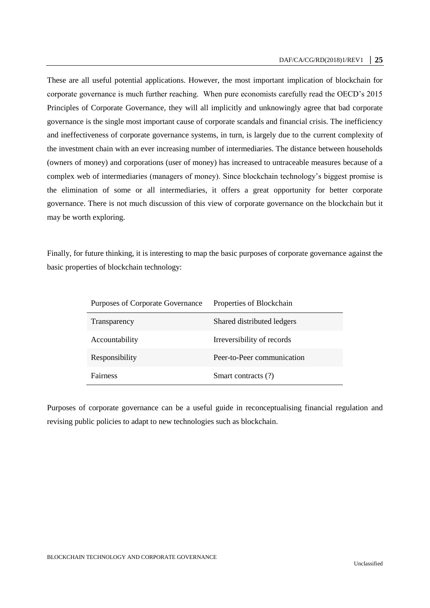These are all useful potential applications. However, the most important implication of blockchain for corporate governance is much further reaching. When pure economists carefully read the OECD's 2015 Principles of Corporate Governance, they will all implicitly and unknowingly agree that bad corporate governance is the single most important cause of corporate scandals and financial crisis. The inefficiency and ineffectiveness of corporate governance systems, in turn, is largely due to the current complexity of the investment chain with an ever increasing number of intermediaries. The distance between households (owners of money) and corporations (user of money) has increased to untraceable measures because of a complex web of intermediaries (managers of money). Since blockchain technology's biggest promise is the elimination of some or all intermediaries, it offers a great opportunity for better corporate governance. There is not much discussion of this view of corporate governance on the blockchain but it may be worth exploring.

Finally, for future thinking, it is interesting to map the basic purposes of corporate governance against the basic properties of blockchain technology:

| Purposes of Corporate Governance | Properties of Blockchain   |
|----------------------------------|----------------------------|
| Transparency                     | Shared distributed ledgers |
| Accountability                   | Irreversibility of records |
| Responsibility                   | Peer-to-Peer communication |
| <b>Fairness</b>                  | Smart contracts (?)        |

Purposes of corporate governance can be a useful guide in reconceptualising financial regulation and revising public policies to adapt to new technologies such as blockchain.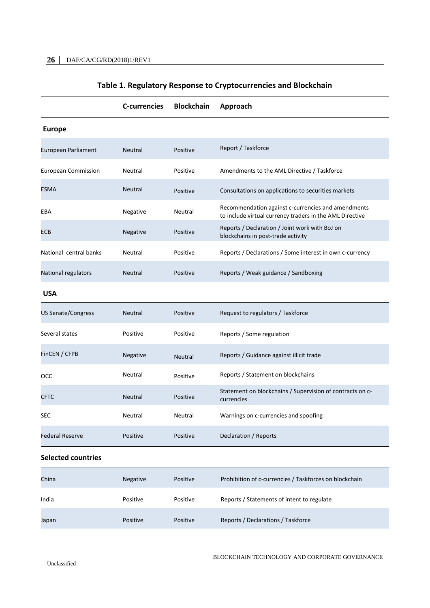|                            | <b>C-currencies</b> | <b>Blockchain</b> | Approach                                                                                                       |
|----------------------------|---------------------|-------------------|----------------------------------------------------------------------------------------------------------------|
| <b>Europe</b>              |                     |                   |                                                                                                                |
| <b>European Parliament</b> | <b>Neutral</b>      | Positive          | Report / Taskforce                                                                                             |
| <b>European Commission</b> | Neutral             | Positive          | Amendments to the AML Directive / Taskforce                                                                    |
| ESMA                       | <b>Neutral</b>      | Positive          | Consultations on applications to securities markets                                                            |
| EBA                        | Negative            | Neutral           | Recommendation against c-currencies and amendments<br>to include virtual currency traders in the AML Directive |
| ECB                        | Negative            | Positive          | Reports / Declaration / Joint work with BoJ on<br>blockchains in post-trade activity                           |
| National central banks     | Neutral             | Positive          | Reports / Declarations / Some interest in own c-currency                                                       |
| National regulators        | <b>Neutral</b>      | Positive          | Reports / Weak guidance / Sandboxing                                                                           |
| <b>USA</b>                 |                     |                   |                                                                                                                |
| <b>US Senate/Congress</b>  | <b>Neutral</b>      | Positive          | Request to regulators / Taskforce                                                                              |
| Several states             | Positive            | Positive          | Reports / Some regulation                                                                                      |
| FinCEN / CFPB              | Negative            | <b>Neutral</b>    | Reports / Guidance against illicit trade                                                                       |
| occ                        | Neutral             | Positive          | Reports / Statement on blockchains                                                                             |
| CFTC                       | <b>Neutral</b>      | Positive          | Statement on blockchains / Supervision of contracts on c-<br>currencies                                        |
| SEC                        | Neutral             | Neutral           | Warnings on c-currencies and spoofing                                                                          |
| <b>Federal Reserve</b>     | Positive            | Positive          | Declaration / Reports                                                                                          |
| <b>Selected countries</b>  |                     |                   |                                                                                                                |
| China                      | Negative            | Positive          | Prohibition of c-currencies / Taskforces on blockchain                                                         |
| India                      | Positive            | Positive          | Reports / Statements of intent to regulate                                                                     |
| Japan                      | Positive            | Positive          | Reports / Declarations / Taskforce                                                                             |

## **Table 1. Regulatory Response to Cryptocurrencies and Blockchain**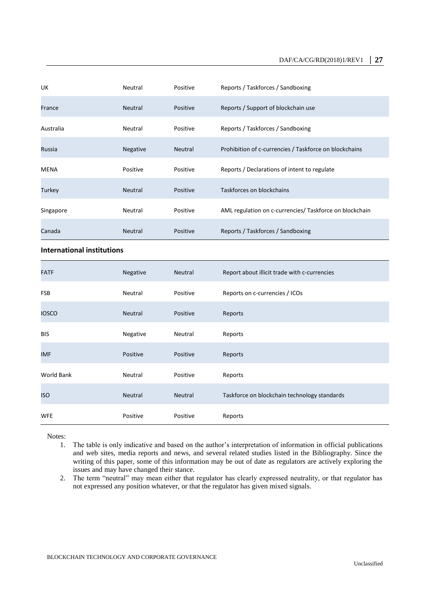| UK.       | Neutral         | Positive       | Reports / Taskforces / Sandboxing                       |
|-----------|-----------------|----------------|---------------------------------------------------------|
| France    | Neutral         | Positive       | Reports / Support of blockchain use                     |
| Australia | Neutral         | Positive       | Reports / Taskforces / Sandboxing                       |
| Russia    | <b>Negative</b> | <b>Neutral</b> | Prohibition of c-currencies / Taskforce on blockchains  |
| MENA      | Positive        | Positive       | Reports / Declarations of intent to regulate            |
| Turkey    | Neutral         | Positive       | Taskforces on blockchains                               |
| Singapore | Neutral         | Positive       | AML regulation on c-currencies/ Taskforce on blockchain |
| Canada    | Neutral         | Positive       | Reports / Taskforces / Sandboxing                       |

### **International institutions**

| <b>FATF</b>       | Negative | Neutral  | Report about illicit trade with c-currencies |
|-------------------|----------|----------|----------------------------------------------|
| <b>FSB</b>        | Neutral  | Positive | Reports on c-currencies / ICOs               |
| <b>IOSCO</b>      | Neutral  | Positive | Reports                                      |
| <b>BIS</b>        | Negative | Neutral  | Reports                                      |
| <b>IMF</b>        | Positive | Positive | Reports                                      |
| <b>World Bank</b> | Neutral  | Positive | Reports                                      |
| <b>ISO</b>        | Neutral  | Neutral  | Taskforce on blockchain technology standards |
| <b>WFE</b>        | Positive | Positive | Reports                                      |

Notes:

- 1. The table is only indicative and based on the author's interpretation of information in official publications and web sites, media reports and news, and several related studies listed in the Bibliography. Since the writing of this paper, some of this information may be out of date as regulators are actively exploring the issues and may have changed their stance.
- 2. The term "neutral" may mean either that regulator has clearly expressed neutrality, or that regulator has not expressed any position whatever, or that the regulator has given mixed signals.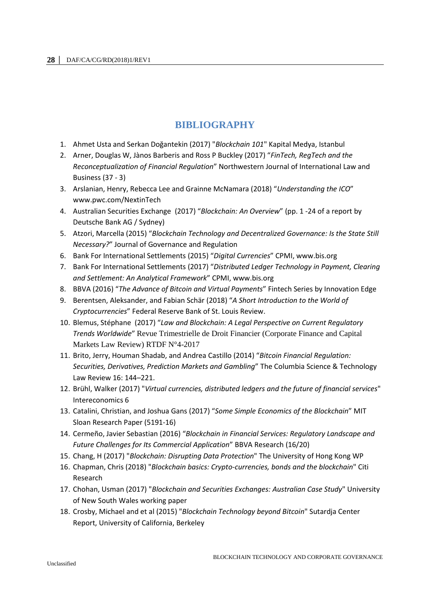# **BIBLIOGRAPHY**

- <span id="page-27-0"></span>1. Ahmet Usta and Serkan Doğantekin (2017) "*Blockchain 101*" Kapital Medya, Istanbul
- 2. Arner, Douglas W, Jànos Barberis and Ross P Buckley (2017) "*FinTech, RegTech and the Reconceptualization of Financial Regulation*" Northwestern Journal of International Law and Business (37 - 3)
- 3. Arslanian, Henry, Rebecca Lee and Grainne McNamara (2018) "*Understanding the ICO*" www.pwc.com/NextinTech
- 4. Australian Securities Exchange (2017) "*Blockchain: An Overview*" (pp. 1 -24 of a report by Deutsche Bank AG / Sydney)
- 5. Atzori, Marcella (2015) "*Blockchain Technology and Decentralized Governance: Is the State Still Necessary?*" Journal of Governance and Regulation
- 6. Bank For International Settlements (2015) "*Digital Currencies*" CPMI, www.bis.org
- 7. Bank For International Settlements (2017) "*Distributed Ledger Technology in Payment, Clearing and Settlement: An Analytical Framework*" CPMI, www.bis.org
- 8. BBVA (2016) "*The Advance of Bitcoin and Virtual Payments*" Fintech Series by Innovation Edge
- 9. Berentsen, Aleksander, and Fabian Schär (2018) "*A Short Introduction to the World of Cryptocurrencies*" Federal Reserve Bank of St. Louis Review.
- 10. Blemus, Stéphane (2017) "*Law and Blockchain: A Legal Perspective on Current Regulatory Trends Worldwide*" Revue Trimestrielle de Droit Financier (Corporate Finance and Capital Markets Law Review) RTDF N°4-2017
- 11. Brito, Jerry, Houman Shadab, and Andrea Castillo (2014) "*Bitcoin Financial Regulation: Securities, Derivatives, Prediction Markets and Gambling*" The Columbia Science & Technology Law Review 16: 144–221.
- 12. Brühl, Walker (2017) "*Virtual currencies, distributed ledgers and the future of financial services*" Intereconomics 6
- 13. Catalini, Christian, and Joshua Gans (2017) "*Some Simple Economics of the Blockchain*" MIT Sloan Research Paper (5191-16)
- 14. Cermeño, Javier Sebastian (2016) "*Blockchain in Financial Services: Regulatory Landscape and Future Challenges for Its Commercial Application*" BBVA Research (16/20)
- 15. Chang, H (2017) "*Blockchain: Disrupting Data Protection*" The University of Hong Kong WP
- 16. Chapman, Chris (2018) "*Blockchain basics: Crypto-currencies, bonds and the blockchain*" Citi Research
- 17. Chohan, Usman (2017) "*Blockchain and Securities Exchanges: Australian Case Study*" University of New South Wales working paper
- 18. Crosby, Michael and et al (2015) "*Blockchain Technology beyond Bitcoin*" Sutardja Center Report, University of California, Berkeley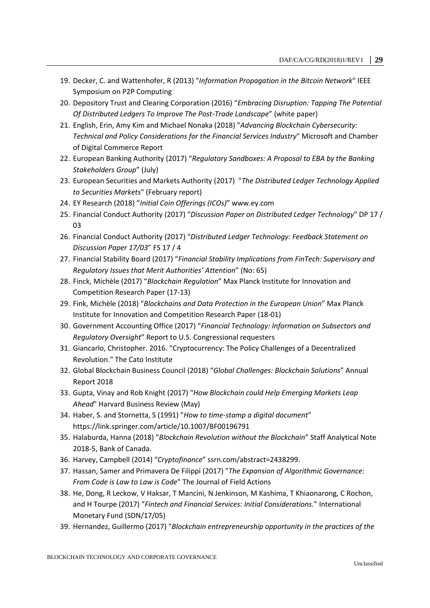- 19. Decker, C. and Wattenhofer, R (2013) "*Information Propagation in the Bitcoin Network*" IEEE Symposium on P2P Computing
- 20. Depository Trust and Clearing Corporation (2016) "*Embracing Disruption: Tapping The Potential Of Distributed Ledgers To Improve The Post-Trade Landscape*" (white paper)
- 21. English, Erin, Amy Kim and Michael Nonaka (2018) "*Advancing Blockchain Cybersecurity: Technical and Policy Considerations for the Financial Services Industry*" Microsoft and Chamber of Digital Commerce Report
- 22. European Banking Authority (2017) "*Regulatory Sandboxes: A Proposal to EBA by the Banking Stakeholders Group*" (July)
- 23. European Securities and Markets Authority (2017) "*The Distributed Ledger Technology Applied to Securities Markets*" (February report)
- 24. EY Research (2018) "*Initial Coin Offerings (ICOs)*" www.ey.com
- 25. Financial Conduct Authority (2017) "*Discussion Paper on Distributed Ledger Technology*" DP 17 / 03
- 26. Financial Conduct Authority (2017) "*Distributed Ledger Technology: Feedback Statement on Discussion Paper 17/03*" FS 17 / 4
- 27. Financial Stability Board (2017) "*Financial Stability Implications from FinTech: Supervisory and Regulatory Issues that Merit Authorities' Attention*" (No: 65)
- 28. Finck, Michèle (2017) "*Blockchain Regulation*" Max Planck Institute for Innovation and Competition Research Paper (17-13)
- 29. Fink, Michèle (2018) "*Blockchains and Data Protection in the European Union*" Max Planck Institute for Innovation and Competition Research Paper (18-01)
- 30. Government Accounting Office (2017) "*Financial Technology: Information on Subsectors and Regulatory Oversight*" Report to U.S. Congressional requesters
- 31. Giancarlo, Christopher. 2016. "Cryptocurrency: The Policy Challenges of a Decentralized Revolution." The Cato Institute
- 32. Global Blockchain Business Council (2018) "*Global Challenges: Blockchain Solutions*" Annual Report 2018
- 33. Gupta, Vinay and Rob Knight (2017) "*How Blockchain could Help Emerging Markets Leap Ahead*" Harvard Business Review (May)
- 34. Haber, S. and Stornetta, S (1991) "*How to time-stamp a digital document*" https://link.springer.com/article/10.1007/BF00196791
- 35. Halaburda, Hanna (2018) "*Blockchain Revolution without the Blockchain*" Staff Analytical Note 2018-5, Bank of Canada.
- 36. Harvey, Campbell (2014) "*Cryptofinance*" ssrn.com/abstract=2438299.
- 37. Hassan, Samer and Primavera De Filippi (2017) "*The Expansion of Algorithmic Governance: From Code is Law to Law is Code*" The Journal of Field Actions
- 38. He, Dong, R Leckow, V Haksar, T Mancini, N Jenkinson, M Kashima, T Khiaonarong, C Rochon, and H Tourpe (2017) "*Fintech and Financial Services: Initial Considerations.*" International Monetary Fund (SDN/17/05)
- 39. Hernandez, Guillermo (2017) "*Blockchain entrepreneurship opportunity in the practices of the*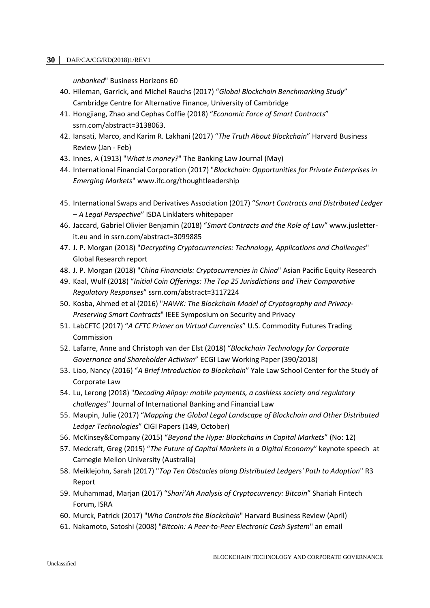*unbanked*" Business Horizons 60

- 40. Hileman, Garrick, and Michel Rauchs (2017) "*Global Blockchain Benchmarking Study*" Cambridge Centre for Alternative Finance, University of Cambridge
- 41. Hongjiang, Zhao and Cephas Coffie (2018) "*Economic Force of Smart Contracts*" ssrn.com/abstract=3138063.
- 42. Iansati, Marco, and Karim R. Lakhani (2017) "*The Truth About Blockchain*" Harvard Business Review (Jan - Feb)
- 43. Innes, A (1913) "*What is money?*" The Banking Law Journal (May)
- 44. International Financial Corporation (2017) "*Blockchain: Opportunities for Private Enterprises in Emerging Markets*" www.ifc.org/thoughtleadership
- 45. International Swaps and Derivatives Association (2017) "*Smart Contracts and Distributed Ledger – A Legal Perspective*" ISDA Linklaters whitepaper
- 46. Jaccard, Gabriel Olivier Benjamin (2018) "*Smart Contracts and the Role of Law*" www.jusletterit.eu and in ssrn.com/abstract=3099885
- 47. J. P. Morgan (2018) "*Decrypting Cryptocurrencies: Technology, Applications and Challenges*" Global Research report
- 48. J. P. Morgan (2018) "*China Financials: Cryptocurrencies in China*" Asian Pacific Equity Research
- 49. Kaal, Wulf (2018) "*Initial Coin Offerings: The Top 25 Jurisdictions and Their Comparative Regulatory Responses*" ssrn.com/abstract=3117224
- 50. Kosba, Ahmed et al (2016) "*HAWK: The Blockchain Model of Cryptography and Privacy-Preserving Smart Contracts*" IEEE Symposium on Security and Privacy
- 51. LabCFTC (2017) "*A CFTC Primer on Virtual Currencies*" U.S. Commodity Futures Trading Commission
- 52. Lafarre, Anne and Christoph van der Elst (2018) "*Blockchain Technology for Corporate Governance and Shareholder Activism*" ECGI Law Working Paper (390/2018)
- 53. Liao, Nancy (2016) "*A Brief Introduction to Blockchain*" Yale Law School Center for the Study of Corporate Law
- 54. Lu, Lerong (2018) "*Decoding Alipay: mobile payments, a cashless society and regulatory challenges*" Journal of International Banking and Financial Law
- 55. Maupin, Julie (2017) "*Mapping the Global Legal Landscape of Blockchain and Other Distributed Ledger Technologies*" CIGI Papers (149, October)
- 56. McKinsey&Company (2015) "*Beyond the Hype: Blockchains in Capital Markets*" (No: 12)
- 57. Medcraft, Greg (2015) "*The Future of Capital Markets in a Digital Economy*" keynote speech at Carnegie Mellon University (Australia)
- 58. Meiklejohn, Sarah (2017) "*Top Ten Obstacles along Distributed Ledgers' Path to Adoption*" R3 Report
- 59. Muhammad, Marjan (2017) "*Shari'Ah Analysis of Cryptocurrency: Bitcoin*" Shariah Fintech Forum, ISRA
- 60. Murck, Patrick (2017) "*Who Controls the Blockchain*" Harvard Business Review (April)
- 61. Nakamoto, Satoshi (2008) "*Bitcoin: A Peer-to-Peer Electronic Cash System*" an email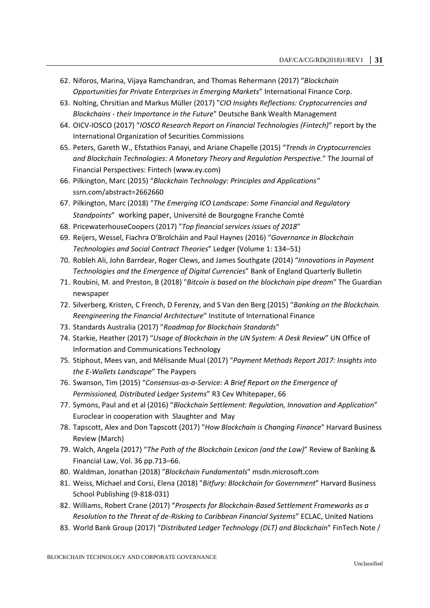- 62. Niforos, Marina, Vijaya Ramchandran, and Thomas Rehermann (2017) "*Blockchain Opportunities for Private Enterprises in Emerging Markets*" International Finance Corp.
- 63. Nolting, Chrsitian and Markus Müller (2017) "*CIO Insights Reflections: Cryptocurrencies and Blockchains - their Importance in the Future*" Deutsche Bank Wealth Management
- 64. OICV-IOSCO (2017) "*IOSCO Research Report on Financial Technologies (Fintech)*" report by the International Organization of Securities Commissions
- 65. Peters, Gareth W., Efstathios Panayi, and Ariane Chapelle (2015) "*Trends in Cryptocurrencies and Blockchain Technologies: A Monetary Theory and Regulation Perspective.*" The Journal of Financial Perspectives: Fintech (www.ey.com)
- 66. Pilkington, Marc (2015) "*Blockchain Technology: Principles and Applications"*  ssrn.com/abstract=2662660
- 67. Pilkington, Marc (2018) "*The Emerging ICO Landscape: Some Financial and Regulatory Standpoints*" working paper, Université de Bourgogne Franche Comté
- 68. PricewaterhouseCoopers (2017) "*Top financial services issues of 2018*"
- 69. Reijers, Wessel, Fiachra O'Brolcháin and Paul Haynes (2016) "*Governance in Blockchain Technologies and Social Contract Theories*" Ledger (Volume 1: 134–51)
- 70. Robleh Ali, John Barrdear, Roger Clews, and James Southgate (2014) "*Innovations in Payment Technologies and the Emergence of Digital Currencies*" Bank of England Quarterly Bulletin
- 71. Roubini, M. and Preston, B (2018) "*Bitcoin is based on the blockchain pipe dream*" The Guardian newspaper
- 72. Silverberg, Kristen, C French, D Ferenzy, and S Van den Berg (2015) "*Banking on the Blockchain. Reengineering the Financial Architecture*" Institute of International Finance
- 73. Standards Australia (2017) "*Roadmap for Blockchain Standards*"
- 74. Starkie, Heather (2017) "*Usage of Blockchain in the UN System: A Desk Review*" UN Office of Information and Communications Technology
- 75. Stiphout, Mees van, and Mélisande Mual (2017) "*Payment Methods Report 2017: Insights into the E-Wallets Landscape*" The Paypers
- 76. Swanson, Tim (2015) "*Consensus-as-a-Service: A Brief Report on the Emergence of Permissioned, Distributed Ledger Systems*" R3 Cev Whitepaper, 66
- 77. Symons, Paul and et al (2016) "*Blockchain Settlement: Regulation, Innovation and Application*" Euroclear in cooperation with Slaughter and May
- 78. Tapscott, Alex and Don Tapscott (2017) "*How Blockchain is Changing Finance*" Harvard Business Review (March)
- 79. Walch, Angela (2017) "*The Path of the Blockchain Lexicon (and the Law)*" Review of Banking & Financial Law, Vol. 36 pp.713–66.
- 80. Waldman, Jonathan (2018) "*Blockchain Fundamentals*" msdn.microsoft.com
- 81. Weiss, Michael and Corsi, Elena (2018) "*Bitfury: Blockchain for Government*" Harvard Business School Publishing (9-818-031)
- 82. Williams, Robert Crane (2017) "*Prospects for Blockchain-Based Settlement Frameworks as a Resolution to the Threat of de-Risking to Caribbean Financial Systems*" ECLAC, United Nations
- 83. World Bank Group (2017) "*Distributed Ledger Technology (DLT) and Blockchain*" FinTech Note /